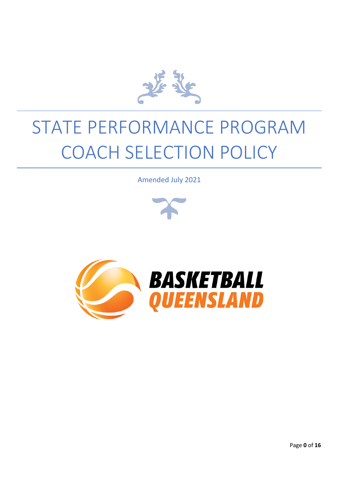

# STATE PERFORMANCE PROGRAM COACH SELECTION POLICY

Amended July 2021



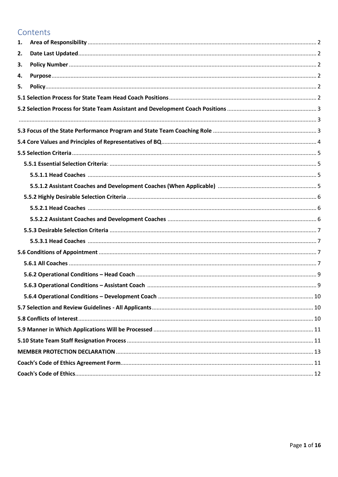# Contents

| 1. |  |
|----|--|
| 2. |  |
| 3. |  |
| 4. |  |
| 5. |  |
|    |  |
|    |  |
|    |  |
|    |  |
|    |  |
|    |  |
|    |  |
|    |  |
|    |  |
|    |  |
|    |  |
|    |  |
|    |  |
|    |  |
|    |  |
|    |  |
|    |  |
|    |  |
|    |  |
|    |  |
|    |  |
|    |  |
|    |  |
|    |  |
|    |  |
|    |  |
|    |  |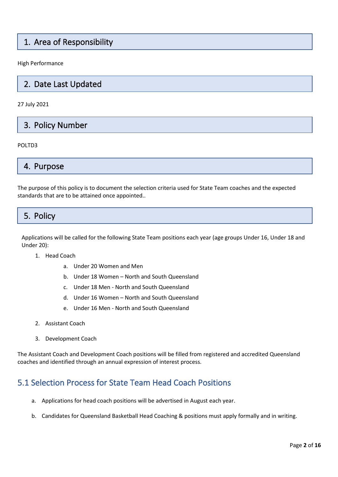# 1. Area of Responsibility

High Performance

# 2. Date Last Updated

27 July 2021

3. Policy Number

#### POLTD3

4. Purpose

The purpose of this policy is to document the selection criteria used for State Team coaches and the expected standards that are to be attained once appointed..

# 5. Policy

Applications will be called for the following State Team positions each year (age groups Under 16, Under 18 and Under 20):

- 1. Head Coach
	- a. Under 20 Women and Men
	- b. Under 18 Women North and South Queensland
	- c. Under 18 Men North and South Queensland
	- d. Under 16 Women North and South Queensland
	- e. Under 16 Men North and South Queensland
- 2. Assistant Coach
- 3. Development Coach

The Assistant Coach and Development Coach positions will be filled from registered and accredited Queensland coaches and identified through an annual expression of interest process.

# <span id="page-2-0"></span>5.1 Selection Process for State Team Head Coach Positions

- a. Applications for head coach positions will be advertised in August each year.
- b. Candidates for Queensland Basketball Head Coaching & positions must apply formally and in writing.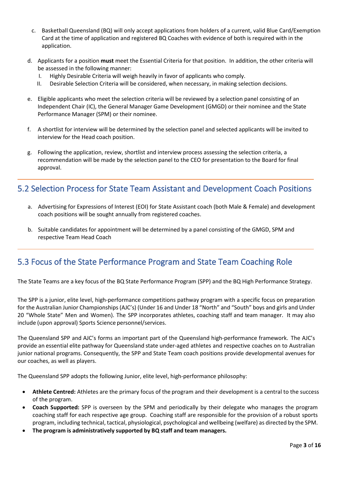- c. Basketball Queensland (BQ) will only accept applications from holders of a current, valid Blue Card/Exemption Card at the time of application and registered BQ Coaches with evidence of both is required with in the application.
- d. Applicants for a position **must** meet the Essential Criteria for that position. In addition, the other criteria will be assessed in the following manner:
	- I. Highly Desirable Criteria will weigh heavily in favor of applicants who comply.
	- II. Desirable Selection Criteria will be considered, when necessary, in making selection decisions.
- e. Eligible applicants who meet the selection criteria will be reviewed by a selection panel consisting of an Independent Chair (IC), the General Manager Game Development (GMGD) or their nominee and the State Performance Manager (SPM) or their nominee.
- f. A shortlist for interview will be determined by the selection panel and selected applicants will be invited to interview for the Head coach position.
- g. Following the application, review, shortlist and interview process assessing the selection criteria, a recommendation will be made by the selection panel to the CEO for presentation to the Board for final approval.

## <span id="page-3-0"></span>5.2 Selection Process for State Team Assistant and Development Coach Positions

- a. Advertising for Expressions of Interest (EOI) for State Assistant coach (both Male & Female) and development coach positions will be sought annually from registered coaches.
- b. Suitable candidates for appointment will be determined by a panel consisting of the GMGD, SPM and respective Team Head Coach

# <span id="page-3-1"></span>5.3 Focus of the State Performance Program and State Team Coaching Role

The State Teams are a key focus of the BQ State Performance Program (SPP) and the BQ High Performance Strategy.

The SPP is a junior, elite level, high-performance competitions pathway program with a specific focus on preparation for the Australian Junior Championships (AJC's) (Under 16 and Under 18 "North" and "South" boys and girls and Under 20 "Whole State" Men and Women). The SPP incorporates athletes, coaching staff and team manager. It may also include (upon approval) Sports Science personnel/services.

The Queensland SPP and AJC's forms an important part of the Queensland high-performance framework. The AJC's provide an essential elite pathway for Queensland state under-aged athletes and respective coaches on to Australian junior national programs. Consequently, the SPP and State Team coach positions provide developmental avenues for our coaches, as well as players.

The Queensland SPP adopts the following Junior, elite level, high-performance philosophy:

- **Athlete Centred:** Athletes are the primary focus of the program and their development is a central to the success of the program.
- **Coach Supported:** SPP is overseen by the SPM and periodically by their delegate who manages the program coaching staff for each respective age group. Coaching staff are responsible for the provision of a robust sports program, including technical, tactical, physiological, psychological and wellbeing (welfare) as directed by the SPM.
- **The program is administratively supported by BQ staff and team managers.**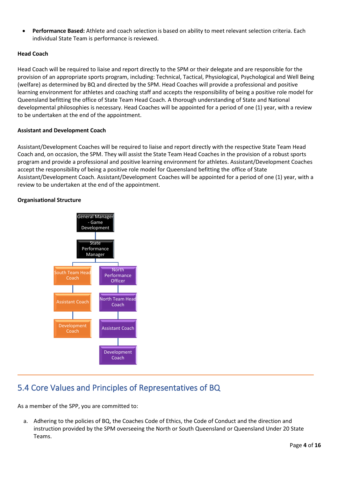• **Performance Based:** Athlete and coach selection is based on ability to meet relevant selection criteria. Each individual State Team is performance is reviewed.

#### **Head Coach**

Head Coach will be required to liaise and report directly to the SPM or their delegate and are responsible for the provision of an appropriate sports program, including: Technical, Tactical, Physiological, Psychological and Well Being (welfare) as determined by BQ and directed by the SPM. Head Coaches will provide a professional and positive learning environment for athletes and coaching staff and accepts the responsibility of being a positive role model for Queensland befitting the office of State Team Head Coach. A thorough understanding of State and National developmental philosophies is necessary. Head Coaches will be appointed for a period of one (1) year, with a review to be undertaken at the end of the appointment.

#### **Assistant and Development Coach**

Assistant/Development Coaches will be required to liaise and report directly with the respective State Team Head Coach and, on occasion, the SPM. They will assist the State Team Head Coaches in the provision of a robust sports program and provide a professional and positive learning environment for athletes. Assistant/Development Coaches accept the responsibility of being a positive role model for Queensland befitting the office of State Assistant/Development Coach. Assistant/Development Coaches will be appointed for a period of one (1) year, with a review to be undertaken at the end of the appointment.

#### **Organisational Structure**



# <span id="page-4-0"></span>5.4 Core Values and Principles of Representatives of BQ

As a member of the SPP, you are committed to:

a. Adhering to the policies of BQ, the Coaches Code of Ethics, the Code of Conduct and the direction and instruction provided by the SPM overseeing the North or South Queensland or Queensland Under 20 State Teams.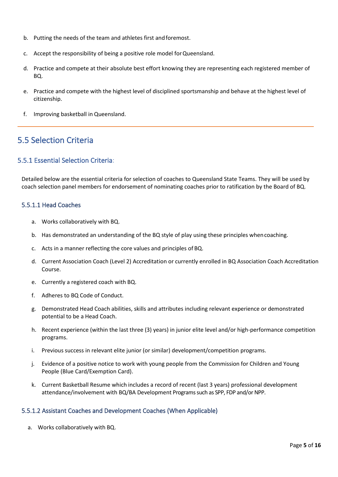- b. Putting the needs of the team and athletes first andforemost.
- c. Accept the responsibility of being a positive role model forQueensland.
- d. Practice and compete at their absolute best effort knowing they are representing each registered member of BQ.
- e. Practice and compete with the highest level of disciplined sportsmanship and behave at the highest level of citizenship.
- f. Improving basketball in Queensland.

# <span id="page-5-0"></span>5.5 Selection Criteria

#### <span id="page-5-1"></span>5.5.1 Essential Selection Criteria:

Detailed below are the essential criteria for selection of coaches to Queensland State Teams. They will be used by coach selection panel members for endorsement of nominating coaches prior to ratification by the Board of BQ.

#### <span id="page-5-2"></span>5.5.1.1 Head Coaches

- a. Works collaboratively with BQ.
- b. Has demonstrated an understanding of the BQ style of play using these principles whencoaching.
- c. Acts in a manner reflecting the core values and principles of BQ.
- d. Current Association Coach (Level 2) Accreditation or currently enrolled in BQ Association Coach Accreditation Course.
- e. Currently a registered coach with BQ.
- f. Adheres to BQ Code of Conduct.
- g. Demonstrated Head Coach abilities, skills and attributes including relevant experience or demonstrated potential to be a Head Coach.
- h. Recent experience (within the last three (3) years) in junior elite level and/or high-performance competition programs.
- i. Previous success in relevant elite junior (or similar) development/competition programs.
- j. Evidence of a positive notice to work with young people from the Commission for Children and Young People (Blue Card/Exemption Card).
- k. Current Basketball Resume which includes a record of recent (last 3 years) professional development attendance/involvement with BQ/BA Development Programssuch as SPP, FDP and/or NPP.

#### <span id="page-5-3"></span>5.5.1.2 Assistant Coaches and Development Coaches (When Applicable)

a. Works collaboratively with BQ.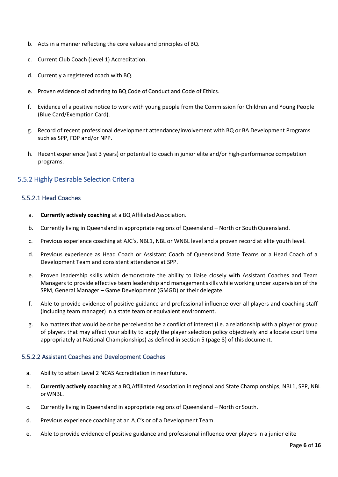- b. Acts in a manner reflecting the core values and principles of BQ.
- c. Current Club Coach (Level 1) Accreditation.
- d. Currently a registered coach with BQ.
- e. Proven evidence of adhering to BQ Code of Conduct and Code of Ethics.
- f. Evidence of a positive notice to work with young people from the Commission for Children and Young People (Blue Card/Exemption Card).
- g. Record of recent professional development attendance/involvement with BQ or BA Development Programs such as SPP, FDP and/or NPP.
- h. Recent experience (last 3 years) or potential to coach in junior elite and/or high-performance competition programs.

#### <span id="page-6-0"></span>5.5.2 Highly Desirable Selection Criteria

#### <span id="page-6-1"></span>5.5.2.1 Head Coaches

- a. **Currently actively coaching** at a BQ Affiliated Association.
- b. Currently living in Queensland in appropriate regions of Queensland North or SouthQueensland.
- c. Previous experience coaching at AJC's, NBL1, NBL or WNBL level and a proven record at elite youth level.
- d. Previous experience as Head Coach or Assistant Coach of Queensland State Teams or a Head Coach of a Development Team and consistent attendance at SPP.
- e. Proven leadership skills which demonstrate the ability to liaise closely with Assistant Coaches and Team Managers to provide effective team leadership and managementskills while working under supervision of the SPM, General Manager – Game Development (GMGD) or their delegate.
- f. Able to provide evidence of positive guidance and professional influence over all players and coaching staff (including team manager) in a state team or equivalent environment.
- g. No matters that would be or be perceived to be a conflict of interest (i.e. a relationship with a player or group of players that may affect your ability to apply the player selection policy objectively and allocate court time appropriately at National Championships) as defined in section 5 (page 8) of thisdocument.

#### <span id="page-6-2"></span>5.5.2.2 Assistant Coaches and Development Coaches

- a. Ability to attain Level 2 NCAS Accreditation in near future.
- b. **Currently actively coaching** at a BQ Affiliated Association in regional and State Championships, NBL1, SPP, NBL orWNBL.
- c. Currently living in Queensland in appropriate regions of Queensland North or South.
- d. Previous experience coaching at an AJC's or of a Development Team.
- e. Able to provide evidence of positive guidance and professional influence over players in a junior elite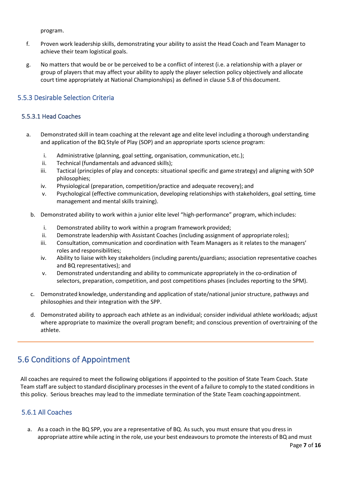program.

- f. Proven work leadership skills, demonstrating your ability to assist the Head Coach and Team Manager to achieve their team logistical goals.
- g. No matters that would be or be perceived to be a conflict of interest (i.e. a relationship with a player or group of players that may affect your ability to apply the player selection policy objectively and allocate court time appropriately at National Championships) as defined in clause 5.8 of thisdocument.

#### <span id="page-7-0"></span>5.5.3 Desirable Selection Criteria

#### <span id="page-7-1"></span>5.5.3.1 Head Coaches

- a. Demonstrated skill in team coaching at the relevant age and elite level including a thorough understanding and application of the BQ Style of Play (SOP) and an appropriate sports science program:
	- i. Administrative (planning, goal setting, organisation, communication, etc.);
	- ii. Technical (fundamentals and advanced skills);
	- iii. Tactical (principles of play and concepts: situational specific and game strategy) and aligning with SOP philosophies;
	- iv. Physiological (preparation, competition/practice and adequate recovery); and
	- v. Psychological (effective communication, developing relationships with stakeholders, goal setting, time management and mental skills training).
	- b. Demonstrated ability to work within a junior elite level "high-performance" program, whichincludes:
		- i. Demonstrated ability to work within a program framework provided;
		- ii. Demonstrate leadership with Assistant Coaches (including assignment of appropriate roles);
		- iii. Consultation, communication and coordination with Team Managers as it relates to the managers' roles and responsibilities;
		- iv. Ability to liaise with key stakeholders (including parents/guardians; association representative coaches and BQ representatives); and
		- v. Demonstrated understanding and ability to communicate appropriately in the co-ordination of selectors, preparation, competition, and post competitions phases (includes reporting to the SPM).
	- c. Demonstrated knowledge, understanding and application ofstate/national juniorstructure, pathways and philosophies and their integration with the SPP.
	- d. Demonstrated ability to approach each athlete as an individual; consider individual athlete workloads; adjust where appropriate to maximize the overall program benefit; and conscious prevention of overtraining of the athlete.

# <span id="page-7-2"></span>5.6 Conditions of Appointment

All coaches are required to meet the following obligations if appointed to the position of State Team Coach. State Team staff are subject to standard disciplinary processesin the event of a failure to comply to the stated conditions in this policy. Serious breaches may lead to the immediate termination of the State Team coachingappointment.

#### <span id="page-7-3"></span>5.6.1 All Coaches

a. As a coach in the BQ SPP, you are a representative of BQ. As such, you must ensure that you dress in appropriate attire while acting in the role, use your best endeavoursto promote the interests of BQ and must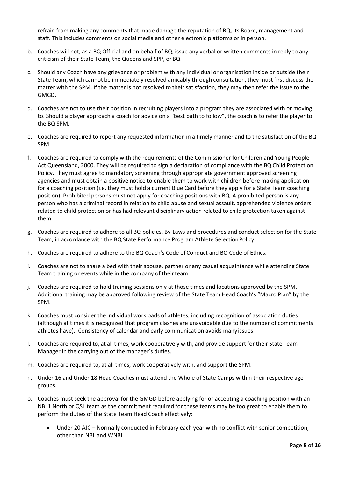refrain from making any comments that made damage the reputation of BQ, its Board, management and staff. This includes comments on social media and other electronic platforms or in person.

- b. Coaches will not, as a BQ Official and on behalf of BQ, issue any verbal or written comments in reply to any criticism of their State Team, the Queensland SPP, or BQ.
- c. Should any Coach have any grievance or problem with any individual or organisation inside or outside their State Team, which cannot be immediately resolved amicably through consultation, they must first discuss the matter with the SPM. If the matter is not resolved to their satisfaction, they may then refer the issue to the GMGD.
- d. Coaches are not to use their position in recruiting players into a program they are associated with or moving to. Should a player approach a coach for advice on a "best path to follow", the coach is to refer the player to the BQ SPM.
- e. Coaches are required to report any requested information in a timely manner and to the satisfaction of the BQ SPM.
- f. Coaches are required to comply with the requirements of the Commissioner for Children and Young People Act Queensland, 2000. They will be required to sign a declaration of compliance with the BQ Child Protection Policy. They must agree to mandatory screening through appropriate government approved screening agencies and must obtain a positive notice to enable them to work with children before making application for a coaching position (i.e. they must hold a current Blue Card before they apply for a State Team coaching position). Prohibited persons must not apply for coaching positions with BQ. A prohibited person is any person who has a criminal record in relation to child abuse and sexual assault, apprehended violence orders related to child protection or has had relevant disciplinary action related to child protection taken against them.
- g. Coaches are required to adhere to all BQ policies, By-Laws and procedures and conduct selection for the State Team, in accordance with the BQ State Performance Program Athlete Selection Policy.
- h. Coaches are required to adhere to the BQ Coach's Code of Conduct and BQ Code of Ethics.
- i. Coaches are not to share a bed with their spouse, partner or any casual acquaintance while attending State Team training or events while in the company of their team.
- j. Coaches are required to hold training sessions only at those times and locations approved by the SPM. Additional training may be approved following review of the State Team Head Coach's "Macro Plan" by the SPM.
- k. Coaches must consider the individual workloads of athletes, including recognition of association duties (although at times it is recognized that program clashes are unavoidable due to the number of commitments athletes have). Consistency of calendar and early communication avoids many issues.
- l. Coaches are required to, at all times, work cooperatively with, and provide support for their State Team Manager in the carrying out of the manager's duties.
- m. Coaches are required to, at all times, work cooperatively with, and support the SPM.
- n. Under 16 and Under 18 Head Coaches must attend the Whole of State Camps within their respective age groups.
- o. Coaches must seek the approval for the GMGD before applying for or accepting a coaching position with an NBL1 North or QSL team as the commitment required for these teams may be too great to enable them to perform the duties of the State Team Head Coacheffectively:
	- Under 20 AJC Normally conducted in February each year with no conflict with senior competition, other than NBL and WNBL.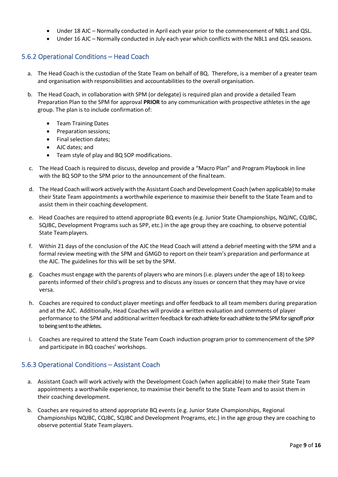- Under 18 AJC Normally conducted in April each year prior to the commencement of NBL1 and QSL.
- Under 16 AJC Normally conducted in July each year which conflicts with the NBL1 and QSL seasons.

#### <span id="page-9-0"></span>5.6.2 Operational Conditions – Head Coach

- a. The Head Coach is the custodian of the State Team on behalf of BQ. Therefore, is a member of a greater team and organisation with responsibilities and accountabilities to the overall organisation.
- b. The Head Coach, in collaboration with SPM (or delegate) is required plan and provide a detailed Team Preparation Plan to the SPM for approval **PRIOR** to any communication with prospective athletes in the age group. The plan is to include confirmation of:
	- Team Training Dates
	- Preparation sessions;
	- Final selection dates;
	- AJC dates; and
	- Team style of play and BQ SOP modifications.
- c. The Head Coach is required to discuss, develop and provide a "Macro Plan" and Program Playbook in line with the BQ SOP to the SPM prior to the announcement of the final team.
- d. The Head Coach will work actively with the Assistant Coach and Development Coach (when applicable) to make their State Team appointments a worthwhile experience to maximise their benefit to the State Team and to assist them in their coaching development.
- e. Head Coaches are required to attend appropriate BQ events (e.g. Junior State Championships, NQJNC, CQJBC, SQJBC, Development Programs such as SPP, etc.) in the age group they are coaching, to observe potential State Teamplayers.
- f. Within 21 days of the conclusion of the AJC the Head Coach will attend a debrief meeting with the SPM and a formal review meeting with the SPM and GMGD to report on their team's preparation and performance at the AJC. The guidelines for this will be set by the SPM.
- g. Coaches must engage with the parents of players who are minors(i.e. players under the age of 18) to keep parents informed of their child's progress and to discuss any issues or concern that they may have or vice versa.
- h. Coaches are required to conduct player meetings and offer feedback to all team members during preparation and at the AJC. Additionally, Head Coaches will provide a written evaluation and comments of player performance to the SPM and additional written feedback for each athlete for each athlete to the SPM for signoff prior to being sent to the athletes.
- i. Coaches are required to attend the State Team Coach induction program prior to commencement of the SPP and participate in BQ coaches' workshops.

#### <span id="page-9-1"></span>5.6.3 Operational Conditions – Assistant Coach

- a. Assistant Coach will work actively with the Development Coach (when applicable) to make their State Team appointments a worthwhile experience, to maximise their benefit to the State Team and to assist them in their coaching development.
- b. Coaches are required to attend appropriate BQ events (e.g. Junior State Championships, Regional Championships NQJBC, CQJBC, SQJBC and Development Programs, etc.) in the age group they are coaching to observe potential State Teamplayers.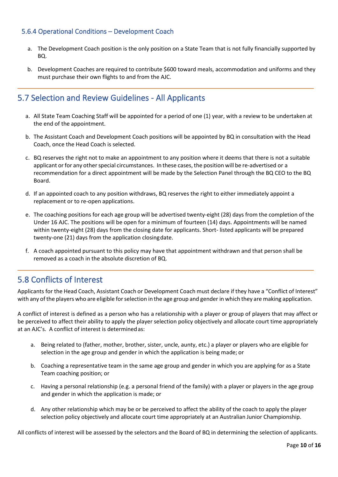#### <span id="page-10-0"></span>5.6.4 Operational Conditions – Development Coach

- a. The Development Coach position is the only position on a State Team that is not fully financially supported by BQ.
- b. Development Coaches are required to contribute \$600 toward meals, accommodation and uniforms and they must purchase their own flights to and from the AJC.

# <span id="page-10-1"></span>5.7 Selection and Review Guidelines - All Applicants

- a. All State Team Coaching Staff will be appointed for a period of one (1) year, with a review to be undertaken at the end of the appointment.
- b. The Assistant Coach and Development Coach positions will be appointed by BQ in consultation with the Head Coach, once the Head Coach is selected.
- c. BQ reserves the right not to make an appointment to any position where it deems that there is not a suitable applicant or for any other special circumstances. In these cases, the position will be re-advertised or a recommendation for a direct appointment will be made by the Selection Panel through the BQ CEO to the BQ Board.
- d. If an appointed coach to any position withdraws, BQ reserves the right to either immediately appoint a replacement or to re-open applications.
- e. The coaching positions for each age group will be advertised twenty-eight (28) days from the completion of the Under 16 AJC. The positions will be open for a minimum of fourteen (14) days. Appointments will be named within twenty-eight (28) days from the closing date for applicants. Short- listed applicants will be prepared twenty-one (21) days from the application closingdate.
- f. A coach appointed pursuant to this policy may have that appointment withdrawn and that person shall be removed as a coach in the absolute discretion of BQ.

## <span id="page-10-2"></span>5.8 Conflicts of Interest

Applicants for the Head Coach, Assistant Coach or Development Coach must declare if they have a "Conflict of Interest" with any of the players who are eligible for selection in the age group and gender in which they are making application.

A conflict of interest is defined as a person who has a relationship with a player or group of players that may affect or be perceived to affect their ability to apply the player selection policy objectively and allocate court time appropriately at an AJC's. A conflict of interest is determinedas:

- a. Being related to (father, mother, brother, sister, uncle, aunty, etc.) a player or players who are eligible for selection in the age group and gender in which the application is being made; or
- b. Coaching a representative team in the same age group and gender in which you are applying for as a State Team coaching position; or
- c. Having a personal relationship (e.g. a personal friend of the family) with a player or players in the age group and gender in which the application is made; or
- d. Any other relationship which may be or be perceived to affect the ability of the coach to apply the player selection policy objectively and allocate court time appropriately at an Australian Junior Championship.

All conflicts of interest will be assessed by the selectors and the Board of BQ in determining the selection of applicants.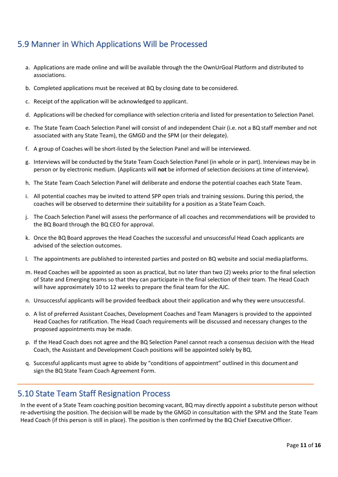# <span id="page-11-0"></span>5.9 Manner in Which Applications Will be Processed

- a. Applications are made online and will be available through the the OwnUrGoal Platform and distributed to associations.
- b. Completed applications must be received at BQ by closing date to be considered.
- c. Receipt of the application will be acknowledged to applicant.
- d. Applications will be checked for compliance with selection criteria and listed for presentation to Selection Panel.
- e. The State Team Coach Selection Panel will consist of and independent Chair (i.e. not a BQ staff member and not associated with any State Team), the GMGD and the SPM (or their delegate).
- f. A group of Coaches will be short-listed by the Selection Panel and will be interviewed.
- g. Interviews will be conducted by the State Team Coach Selection Panel (in whole or in part). Interviews may be in person or by electronic medium. (Applicants will **not** be informed of selection decisions at time of interview).
- h. The State Team Coach Selection Panel will deliberate and endorse the potential coaches each State Team.
- i. All potential coaches may be invited to attend SPP open trials and training sessions. During this period, the coaches will be observed to determine their suitability for a position as a StateTeam Coach.
- j. The Coach Selection Panel will assess the performance of all coaches and recommendations will be provided to the BQ Board through the BQ CEO for approval.
- k. Once the BQ Board approves the Head Coaches the successful and unsuccessful Head Coach applicants are advised of the selection outcomes.
- l. The appointments are published to interested parties and posted on BQ website and social mediaplatforms.
- m. Head Coaches will be appointed as soon as practical, but no later than two (2) weeks prior to the final selection of State and Emerging teams so that they can participate in the final selection of their team. The Head Coach will have approximately 10 to 12 weeks to prepare the final team for the AJC.
- n. Unsuccessful applicants will be provided feedback about their application and why they were unsuccessful.
- o. A list of preferred Assistant Coaches, Development Coaches and Team Managers is provided to the appointed Head Coaches for ratification. The Head Coach requirements will be discussed and necessary changes to the proposed appointments may be made.
- p. If the Head Coach does not agree and the BQ Selection Panel cannot reach a consensus decision with the Head Coach, the Assistant and Development Coach positions will be appointed solely by BQ.
- q. Successful applicants must agree to abide by "conditions of appointment" outlined in this document and sign the BQ State Team Coach Agreement Form.

### <span id="page-11-1"></span>5.10 State Team Staff Resignation Process

In the event of a State Team coaching position becoming vacant, BQ may directly appoint a substitute person without re-advertising the position. The decision will be made by the GMGD in consultation with the SPM and the State Team Head Coach (if this person is still in place). The position is then confirmed by the BQ Chief ExecutiveOfficer.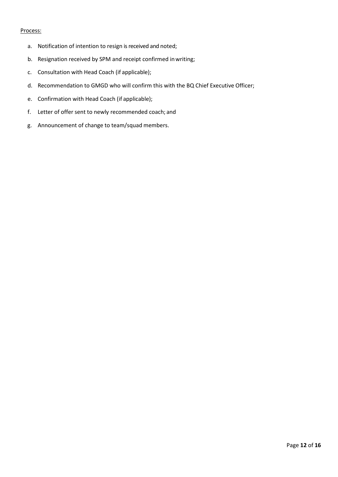#### Process:

- a. Notification of intention to resign is received and noted;
- b. Resignation received by SPM and receipt confirmed inwriting;
- c. Consultation with Head Coach (if applicable);
- d. Recommendation to GMGD who will confirm this with the BQ Chief Executive Officer;
- e. Confirmation with Head Coach (if applicable);
- f. Letter of offer sent to newly recommended coach; and
- g. Announcement of change to team/squad members.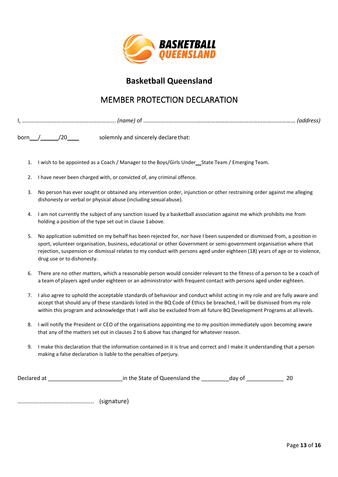

# **Basketball Queensland**

# MEMBER PROTECTION DECLARATION

<span id="page-13-0"></span>

| - iname |  |
|---------|--|
|         |  |

born  $/$   $/$   $/$   $/$   $/$   $/$   $20$  solemnly and sincerely declare that:

- 1. I wish to be appointed as a Coach / Manager to the Boys/Girls Under\_\_State Team / Emerging Team.
- 2. I have never been charged with, or convicted of, any criminal offence.
- 3. No person has ever sought or obtained any intervention order, injunction or other restraining order against me alleging dishonesty or verbal or physical abuse (including sexualabuse).
- 4. I am not currently the subject of any sanction issued by a basketball association against me which prohibits me from holding a position of the type set out in clause 1above.
- 5. No application submitted on my behalf has been rejected for, nor have I been suspended or dismissed from, a position in sport, volunteer organisation, business, educational or other Government or semi-government organisation where that rejection, suspension or dismissal relates to my conduct with persons aged under eighteen (18) years of age or to violence, drug use or to dishonesty.
- 6. There are no other matters, which a reasonable person would consider relevant to the fitness of a person to be a coach of a team of players aged under eighteen or an administrator with frequent contact with persons aged under eighteen.
- 7. I also agree to uphold the acceptable standards of behaviour and conduct whilst acting in my role and are fully aware and accept that should any of these standards listed in the BQ Code of Ethics be breached, I will be dismissed from my role within this program and acknowledge that I will also be excluded from all future BQ Development Programs at all levels.
- 8. I will notify the President or CEO of the organisations appointing me to my position immediately upon becoming aware that any of the matters set out in clauses 2 to 6 above has changed for whatever reason.
- 9. I make this declaration that the information contained in it is true and correct and I make it understanding that a person making a false declaration is liable to the penalties of perjury.

| Declared at | in the State of Queensland the | day of | 20 |
|-------------|--------------------------------|--------|----|
|             |                                |        |    |
|             |                                |        |    |

…………………………………………….. (signature)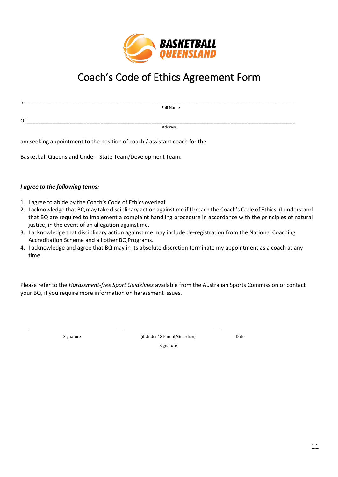

# Coach's Code of Ethics Agreement Form

<span id="page-14-0"></span>

| . .<br>. . |           |
|------------|-----------|
|            | Full Name |
|            |           |
| Of         |           |
|            | Address   |

am seeking appointment to the position of coach / assistant coach for the

Basketball Queensland Under State Team/Development Team.

#### *I agree to the following terms:*

- 1. I agree to abide by the Coach's Code of Ethics overleaf
- 2. I acknowledge that BQ may take disciplinary action against me if I breach the Coach's Code of Ethics. (I understand that BQ are required to implement a complaint handling procedure in accordance with the principles of natural justice, in the event of an allegation against me.
- 3. I acknowledge that disciplinary action against me may include de-registration from the National Coaching Accreditation Scheme and all other BQ Programs.
- 4. I acknowledge and agree that BQ may in its absolute discretion terminate my appointment as a coach at any time.

Please refer to the *Harassment-free Sport Guidelines* available from the Australian Sports Commission or contact your BQ, if you require more information on harassment issues.

Signature (if Under 18 Parent/Guardian) Signature

Date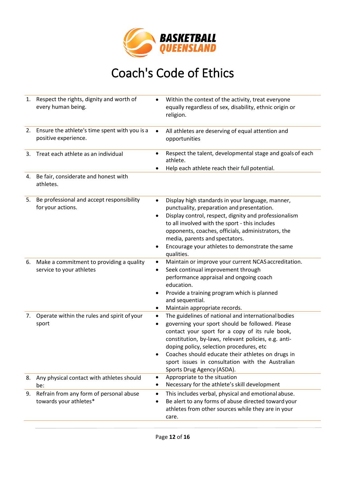

# Coach's Code of Ethics

<span id="page-15-0"></span>

| 1. | Respect the rights, dignity and worth of<br>every human being.        | ٠                   | Within the context of the activity, treat everyone<br>equally regardless of sex, disability, ethnic origin or<br>religion.                                                                                                                                                                                                                                                                           |
|----|-----------------------------------------------------------------------|---------------------|------------------------------------------------------------------------------------------------------------------------------------------------------------------------------------------------------------------------------------------------------------------------------------------------------------------------------------------------------------------------------------------------------|
| 2. | Ensure the athlete's time spent with you is a<br>positive experience. | $\bullet$           | All athletes are deserving of equal attention and<br>opportunities                                                                                                                                                                                                                                                                                                                                   |
| 3. | Treat each athlete as an individual                                   | ٠                   | Respect the talent, developmental stage and goals of each<br>athlete.<br>Help each athlete reach their full potential.                                                                                                                                                                                                                                                                               |
| 4. | Be fair, considerate and honest with<br>athletes.                     |                     |                                                                                                                                                                                                                                                                                                                                                                                                      |
| 5. | Be professional and accept responsibility<br>for your actions.        | ٠<br>$\bullet$<br>٠ | Display high standards in your language, manner,<br>punctuality, preparation and presentation.<br>Display control, respect, dignity and professionalism<br>to all involved with the sport - this includes<br>opponents, coaches, officials, administrators, the<br>media, parents and spectators.<br>Encourage your athletes to demonstrate the same<br>qualities.                                   |
| 6. | Make a commitment to providing a quality<br>service to your athletes  | ٠<br>٠<br>٠<br>٠    | Maintain or improve your current NCAS accreditation.<br>Seek continual improvement through<br>performance appraisal and ongoing coach<br>education.<br>Provide a training program which is planned<br>and sequential.<br>Maintain appropriate records.                                                                                                                                               |
| 7. | Operate within the rules and spirit of your<br>sport                  | $\bullet$<br>٠      | The guidelines of national and international bodies<br>governing your sport should be followed. Please<br>contact your sport for a copy of its rule book,<br>constitution, by-laws, relevant policies, e.g. anti-<br>doping policy, selection procedures, etc<br>Coaches should educate their athletes on drugs in<br>sport issues in consultation with the Australian<br>Sports Drug Agency (ASDA). |
| 8. | Any physical contact with athletes should<br>be:                      | ٠<br>٠              | Appropriate to the situation<br>Necessary for the athlete's skill development                                                                                                                                                                                                                                                                                                                        |
| 9. | Refrain from any form of personal abuse<br>towards your athletes*     | $\bullet$<br>٠      | This includes verbal, physical and emotional abuse.<br>Be alert to any forms of abuse directed toward your<br>athletes from other sources while they are in your<br>care.                                                                                                                                                                                                                            |